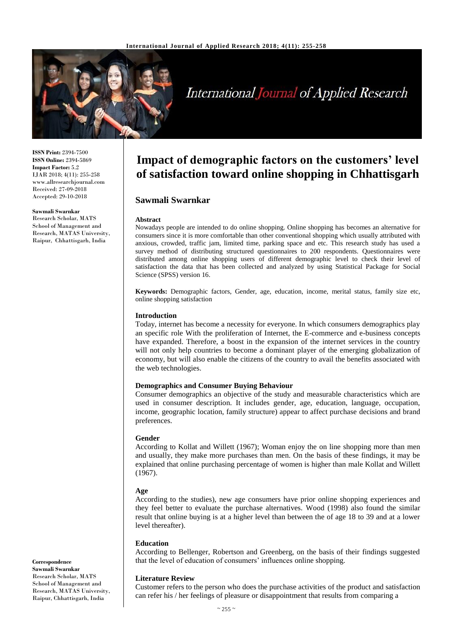

# **International Journal of Applied Research**

**ISSN Print:** 2394-7500 **ISSN Online:** 2394-5869 **Impact Factor:** 5.2 IJAR 2018; 4(11): 255-258 www.allresearchjournal.com Received: 27-09-2018 Accepted: 29-10-2018

**Sawmali Swarnkar** Research Scholar, MATS School of Management and Research, MATAS University, Raipur, Chhattisgarh, India

# **Impact of demographic factors on the customers' level of satisfaction toward online shopping in Chhattisgarh**

## **Sawmali Swarnkar**

#### **Abstract**

Nowadays people are intended to do online shopping. Online shopping has becomes an alternative for consumers since it is more comfortable than other conventional shopping which usually attributed with anxious, crowded, traffic jam, limited time, parking space and etc. This research study has used a survey method of distributing structured questionnaires to 200 respondents. Questionnaires were distributed among online shopping users of different demographic level to check their level of satisfaction the data that has been collected and analyzed by using Statistical Package for Social Science (SPSS) version 16.

**Keywords:** Demographic factors, Gender, age, education, income, merital status, family size etc, online shopping satisfaction

#### **Introduction**

Today, internet has become a necessity for everyone. In which consumers demographics play an specific role With the proliferation of Internet, the E-commerce and e-business concepts have expanded. Therefore, a boost in the expansion of the internet services in the country will not only help countries to become a dominant player of the emerging globalization of economy, but will also enable the citizens of the country to avail the benefits associated with the web technologies.

#### **Demographics and Consumer Buying Behaviour**

Consumer demographics an objective of the study and measurable characteristics which are used in consumer description. It includes gender, age, education, language, occupation, income, geographic location, family structure) appear to affect purchase decisions and brand preferences.

#### **Gender**

According to Kollat and Willett (1967); Woman enjoy the on line shopping more than men and usually, they make more purchases than men. On the basis of these findings, it may be explained that online purchasing percentage of women is higher than male Kollat and Willett (1967).

#### **Age**

According to the studies), new age consumers have prior online shopping experiences and they feel better to evaluate the purchase alternatives. Wood (1998) also found the similar result that online buying is at a higher level than between the of age 18 to 39 and at a lower level thereafter).

#### **Education**

According to Bellenger, Robertson and Greenberg, on the basis of their findings suggested that the level of education of consumers' influences online shopping.

#### **Literature Review**

Customer refers to the person who does the purchase activities of the product and satisfaction can refer his / her feelings of pleasure or disappointment that results from comparing a

**Correspondence Sawmali Swarnkar** Research Scholar, MATS School of Management and Research, MATAS University, Raipur, Chhattisgarh, India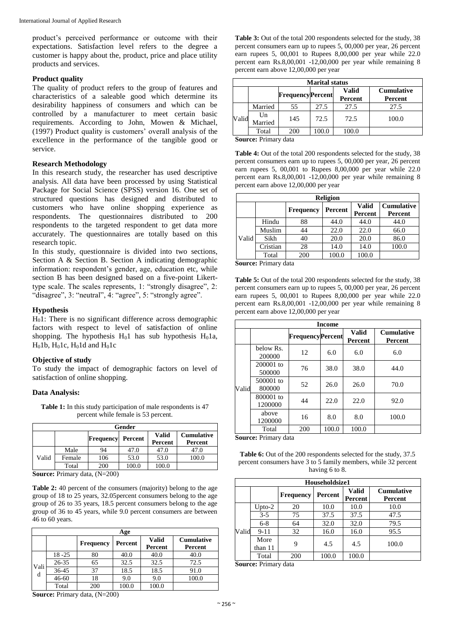product's perceived performance or outcome with their expectations. Satisfaction level refers to the degree a customer is happy about the, product, price and place utility products and services.

#### **Product quality**

The quality of product refers to the group of features and characteristics of a saleable good which determine its desirability happiness of consumers and which can be controlled by a manufacturer to meet certain basic requirements. According to John, Mowen & Michael, (1997) Product quality is customers' overall analysis of the excellence in the performance of the tangible good or service.

#### **Research Methodology**

In this research study, the researcher has used descriptive analysis. All data have been processed by using Statistical Package for Social Science (SPSS) version 16. One set of structured questions has designed and distributed to customers who have online shopping experience as respondents. The questionnaires distributed to 200 respondents to the targeted respondent to get data more accurately. The questionnaires are totally based on this research topic.

In this study, questionnaire is divided into two sections, Section A & Section B. Section A indicating demographic information: respondent's gender, age, education etc, while section B has been designed based on a five-point Likerttype scale. The scales represents, 1: "strongly disagree", 2: "disagree", 3: "neutral", 4: "agree", 5: "strongly agree".

#### **Hypothesis**

 $H<sub>0</sub>1$ : There is no significant difference across demographic factors with respect to level of satisfaction of online shopping. The hypothesis  $H_01$  has sub hypothesis  $H_01a$ ,  $H<sub>0</sub>1b$ ,  $H<sub>0</sub>1c$ ,  $H<sub>0</sub>1d$  and  $H<sub>0</sub>1c$ 

#### **Objective of study**

To study the impact of demographic factors on level of satisfaction of online shopping.

#### **Data Analysis:**

**Table 1:** In this study participation of male respondents is 47 percent while female is 53 percent.

|       | Gender |                  |         |                         |                              |  |  |  |  |  |
|-------|--------|------------------|---------|-------------------------|------------------------------|--|--|--|--|--|
|       |        | <b>Frequency</b> | Percent | <b>Valid</b><br>Percent | <b>Cumulative</b><br>Percent |  |  |  |  |  |
|       | Male   | 94               | 47.0    | 47.0                    | 47.0                         |  |  |  |  |  |
| Valid | Female | 106              | 53.0    | 53.0                    | 100.0                        |  |  |  |  |  |
|       | Total  | 200              | 100.0   | 100.0                   |                              |  |  |  |  |  |

**Source:** Primary data, (N=200)

Table 2: 40 percent of the consumers (majority) belong to the age group of 18 to 25 years, 32.05percent consumers belong to the age group of 26 to 35 years, 18.5 percent consumers belong to the age group of 36 to 45 years, while 9.0 percent consumers are between 46 to 60 years.

|           | Age       |                  |         |                         |                              |  |  |  |  |  |
|-----------|-----------|------------------|---------|-------------------------|------------------------------|--|--|--|--|--|
|           |           | <b>Frequency</b> | Percent | <b>Valid</b><br>Percent | <b>Cumulative</b><br>Percent |  |  |  |  |  |
|           | $18 - 25$ | 80               | 40.0    | 40.0                    | 40.0                         |  |  |  |  |  |
|           | 26-35     | 65               | 32.5    | 32.5                    | 72.5                         |  |  |  |  |  |
| Vali<br>d | 36-45     | 37               | 18.5    | 18.5                    | 91.0                         |  |  |  |  |  |
|           | $46 - 60$ | 18               | 9.0     | 9.0                     | 100.0                        |  |  |  |  |  |
|           | Total     | 200              | 100.0   | 100.0                   |                              |  |  |  |  |  |

Table 3: Out of the total 200 respondents selected for the study, 38 percent consumers earn up to rupees 5, 00,000 per year, 26 percent earn rupees 5, 00,001 to Rupees 8,00,000 per year while 22.0 percent earn Rs.8,00,001 -12,00,000 per year while remaining 8 percent earn above 12,00,000 per year

|       | <b>Marital status</b> |     |                         |         |                   |  |  |  |  |
|-------|-----------------------|-----|-------------------------|---------|-------------------|--|--|--|--|
|       |                       |     | <b>FrequencyPercent</b> | Valid   | <b>Cumulative</b> |  |  |  |  |
|       |                       |     |                         | Percent | Percent           |  |  |  |  |
|       | Married               | 55  | 27.5                    | 27.5    | 27.5              |  |  |  |  |
| Valid | Un<br>Married         | 145 | 72.5                    | 72.5    | 100.0             |  |  |  |  |
|       | Total                 | 200 | 00.0                    | 100.0   |                   |  |  |  |  |

**Source:** Primary data

**Table 4:** Out of the total 200 respondents selected for the study, 38 percent consumers earn up to rupees 5, 00,000 per year, 26 percent earn rupees 5, 00,001 to Rupees 8,00,000 per year while 22.0 percent earn Rs.8,00,001 -12,00,000 per year while remaining 8 percent earn above 12,00,000 per year

| <b>Religion</b> |          |                  |         |                         |                              |  |  |  |  |
|-----------------|----------|------------------|---------|-------------------------|------------------------------|--|--|--|--|
|                 |          | <b>Frequency</b> | Percent | <b>Valid</b><br>Percent | <b>Cumulative</b><br>Percent |  |  |  |  |
|                 | Hindu    | 88               | 44.0    | 44.0                    | 44.0                         |  |  |  |  |
|                 | Muslim   | 44               | 22.0    | 22.0                    | 66.0                         |  |  |  |  |
| Valid           | Sikh     | 40               | 20.0    | 20.0                    | 86.0                         |  |  |  |  |
|                 | Cristian | 28               | 14.0    | 14.0                    | 100.0                        |  |  |  |  |
|                 | Total    | 200              | 100.0   | 100.0                   |                              |  |  |  |  |

**Source:** Primary data

Table 5: Out of the total 200 respondents selected for the study, 38 percent consumers earn up to rupees 5, 00,000 per year, 26 percent earn rupees 5, 00,001 to Rupees 8,00,000 per year while 22.0 percent earn Rs.8,00,001 -12,00,000 per year while remaining 8 percent earn above 12,00,000 per year

|       | <b>Income</b>        |                         |       |                         |                              |  |  |  |  |  |
|-------|----------------------|-------------------------|-------|-------------------------|------------------------------|--|--|--|--|--|
|       |                      | <b>FrequencyPercent</b> |       | <b>Valid</b><br>Percent | <b>Cumulative</b><br>Percent |  |  |  |  |  |
|       | below Rs.<br>200000  | 12                      | 6.0   | 6.0                     | 6.0                          |  |  |  |  |  |
|       | 200001 to<br>500000  | 76                      | 38.0  | 38.0                    | 44.0                         |  |  |  |  |  |
| Valid | 500001 to<br>800000  | 52                      | 26.0  | 26.0                    | 70.0                         |  |  |  |  |  |
|       | 800001 to<br>1200000 | 44                      | 22.0  | 22.0                    | 92.0                         |  |  |  |  |  |
|       | above<br>1200000     | 16                      | 8.0   | 8.0                     | 100.0                        |  |  |  |  |  |
|       | Total                | 200                     | 100.0 | 100.0                   |                              |  |  |  |  |  |

**Source:** Primary data

Table 6: Out of the 200 respondents selected for the study, 37.5 percent consumers have 3 to 5 family members, while 32 percent having 6 to 8.

|       | Householdsize1  |                  |         |                         |                                     |  |  |  |  |  |
|-------|-----------------|------------------|---------|-------------------------|-------------------------------------|--|--|--|--|--|
|       |                 | <b>Frequency</b> | Percent | <b>Valid</b><br>Percent | <b>Cumulative</b><br><b>Percent</b> |  |  |  |  |  |
|       | Upto- $2$       | 20               | 10.0    | 10.0                    | 10.0                                |  |  |  |  |  |
|       | $3 - 5$         | 75               | 37.5    | 37.5                    | 47.5                                |  |  |  |  |  |
|       | $6 - 8$         | 64               | 32.0    | 32.0                    | 79.5                                |  |  |  |  |  |
| Valid | $9 - 11$        | 32               | 16.0    | 16.0                    | 95.5                                |  |  |  |  |  |
|       | More<br>than 11 | 9                | 4.5     | 4.5                     | 100.0                               |  |  |  |  |  |
|       | Total           | 200              | 100.0   | 100.0                   |                                     |  |  |  |  |  |

**Source:** Primary data

**Source:** Primary data, (N=200)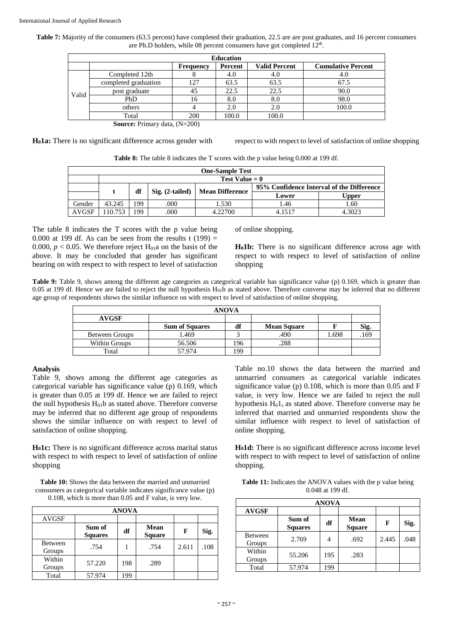Table 7: Majority of the consumers (63.5 percent) have completed their graduation, 22.5 are are post graduates, and 16 percent consumers are Ph.D holders, while 08 percent consumers have got completed 12<sup>th</sup>.

|       | <b>Education</b>     |           |         |                      |                           |  |  |  |  |  |
|-------|----------------------|-----------|---------|----------------------|---------------------------|--|--|--|--|--|
|       |                      | Frequency | Percent | <b>Valid Percent</b> | <b>Cumulative Percent</b> |  |  |  |  |  |
|       | Completed 12th       |           | 4.0     | 4.O                  | 4.0                       |  |  |  |  |  |
|       | completed graduation | 127       | 63.5    | 63.5                 | 67.5                      |  |  |  |  |  |
| Valid | post graduate        | 45        | 22.5    | 22.5                 | 90.0                      |  |  |  |  |  |
|       | PhD                  | 16        | 8.0     | 8.0                  | 98.0                      |  |  |  |  |  |
|       | others               |           | 2.0     | 2.0                  | 100.0                     |  |  |  |  |  |
|       | Total                | 200       | 100.0   | 100.0                |                           |  |  |  |  |  |

**Source:** Primary data, (N=200)

**H01a:** There is no significant difference across gender with respect to with respect to level of satisfaction of online shopping

**Table 8:** The table 8 indicates the T scores with the p value being 0.000 at 199 df.

|              | <b>One-Sample Test</b> |     |                   |                        |                                           |        |  |  |  |
|--------------|------------------------|-----|-------------------|------------------------|-------------------------------------------|--------|--|--|--|
|              | Test Value $= 0$       |     |                   |                        |                                           |        |  |  |  |
|              |                        | df  | $Sig. (2-tailed)$ | <b>Mean Difference</b> | 95% Confidence Interval of the Difference |        |  |  |  |
|              |                        |     |                   |                        | Lower                                     | Upper  |  |  |  |
| Gender       | 43.245                 | 199 | .000              | . . 530                | 1.46                                      | 1.60   |  |  |  |
| <b>AVGSF</b> | 10.753                 | 99  | .000              | 4.22700                | 4.1517                                    | 4.3023 |  |  |  |

The table 8 indicates the T scores with the p value being 0.000 at 199 df. As can be seen from the results t  $(199)$  = 0.000,  $p < 0.05$ . We therefore reject H<sub>01</sub>a on the basis of the above. It may be concluded that gender has significant bearing on with respect to with respect to level of satisfaction

of online shopping.

**H01b:** There is no significant difference across age with respect to with respect to level of satisfaction of online shopping

**Table 9:** Table 9, shows among the different age categories as categorical variable has significance value (p) 0.169, which is greater than 0.05 at 199 df. Hence we are failed to reject the null hypothesis  $H<sub>01</sub>b$  as stated above. Therefore converse may be inferred that no different age group of respondents shows the similar influence on with respect to level of satisfaction of online shopping.

| <b>ANOVA</b>   |                       |     |                    |       |      |  |  |  |  |
|----------------|-----------------------|-----|--------------------|-------|------|--|--|--|--|
| <b>AVGSF</b>   |                       |     |                    |       |      |  |  |  |  |
|                | <b>Sum of Squares</b> | df  | <b>Mean Square</b> |       | Sig. |  |  |  |  |
| Between Groups | 1.469                 |     | .490               | 1.698 | .169 |  |  |  |  |
| Within Groups  | 56.506                | 196 | .288               |       |      |  |  |  |  |
| Total          | 57.974                | 199 |                    |       |      |  |  |  |  |

#### **Analysis**

Table 9, shows among the different age categories as categorical variable has significance value (p) 0.169, which is greater than 0.05 at 199 df. Hence we are failed to reject the null hypothesis  $H<sub>01</sub>b$  as stated above. Therefore converse may be inferred that no different age group of respondents shows the similar influence on with respect to level of satisfaction of online shopping.

**H01c:** There is no significant difference across marital status with respect to with respect to level of satisfaction of online shopping

**Table 10:** Shows the data between the married and unmarried consumers as categorical variable indicates significance value (p) 0.108, which is more than 0.05 and F value, is very low.

| <b>ANOVA</b>             |                          |     |                       |       |      |  |  |  |  |  |
|--------------------------|--------------------------|-----|-----------------------|-------|------|--|--|--|--|--|
| <b>AVGSF</b>             |                          |     |                       |       |      |  |  |  |  |  |
|                          | Sum of<br><b>Squares</b> | df  | Mean<br><b>Square</b> | F     | Sig. |  |  |  |  |  |
| <b>Between</b><br>Groups | .754                     |     | .754                  | 2.611 | .108 |  |  |  |  |  |
| Within<br>Groups         | 57.220                   | 198 | .289                  |       |      |  |  |  |  |  |
| Total                    | 57.974                   | 199 |                       |       |      |  |  |  |  |  |

Table no.10 shows the data between the married and unmarried consumers as categorical variable indicates significance value (p) 0.108, which is more than 0.05 and F value, is very low. Hence we are failed to reject the null hypothesis  $H_01_c$  as stated above. Therefore converse may be inferred that married and unmarried respondents show the similar influence with respect to level of satisfaction of online shopping.

**H01d:** There is no significant difference across income level with respect to with respect to level of satisfaction of online shopping.

**Table 11:** Indicates the ANOVA values with the p value being 0.048 at 199 df.

|                   | <b>ANOVA</b>             |     |                              |       |      |  |  |  |  |  |  |
|-------------------|--------------------------|-----|------------------------------|-------|------|--|--|--|--|--|--|
| <b>AVGSF</b>      |                          |     |                              |       |      |  |  |  |  |  |  |
|                   | Sum of<br><b>Squares</b> | df  | <b>Mean</b><br><b>Square</b> | F     | Sig. |  |  |  |  |  |  |
| Between<br>Groups | 2.769                    |     | .692                         | 2.445 | .048 |  |  |  |  |  |  |
| Within<br>Groups  | 55.206                   | 195 | .283                         |       |      |  |  |  |  |  |  |
| Total             | 57.974                   | 199 |                              |       |      |  |  |  |  |  |  |